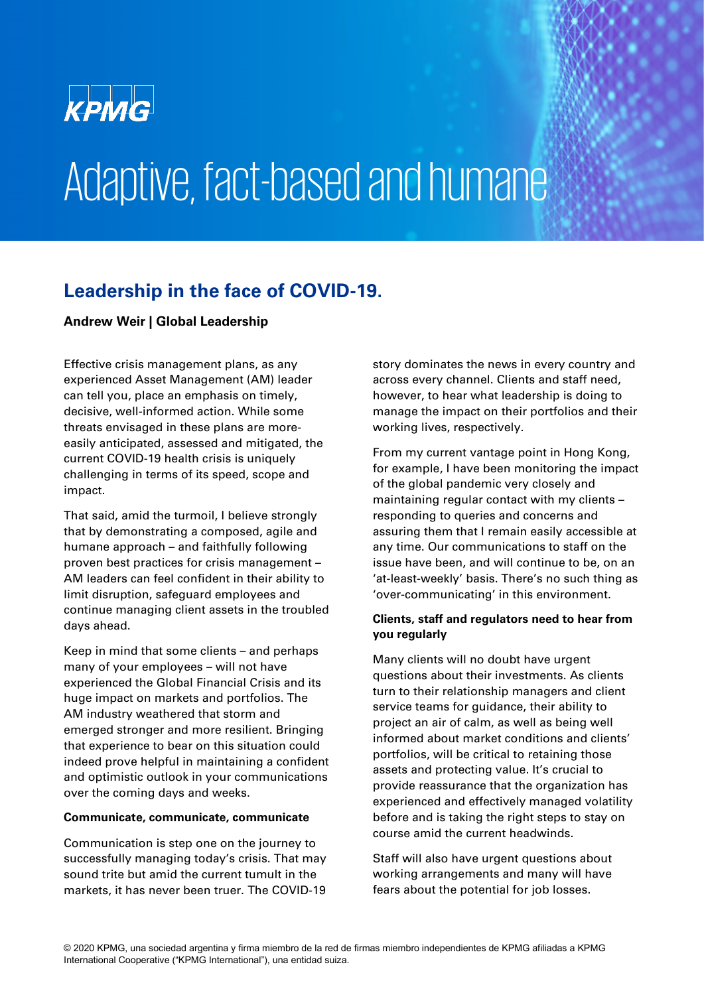

# Adaptive, fact-based and humane

### **Leadership in the face of COVID-19.**

#### **Andrew Weir | Global Leadership**

Effective crisis management plans, as any experienced Asset Management (AM) leader can tell you, place an emphasis on timely, decisive, well-informed action. While some threats envisaged in these plans are moreeasily anticipated, assessed and mitigated, the current COVID-19 health crisis is uniquely challenging in terms of its speed, scope and impact.

That said, amid the turmoil, I believe strongly that by demonstrating a composed, agile and humane approach – and faithfully following proven best practices for crisis management – AM leaders can feel confident in their ability to limit disruption, safeguard employees and continue managing client assets in the troubled days ahead.

Keep in mind that some clients – and perhaps many of your employees – will not have experienced the Global Financial Crisis and its huge impact on markets and portfolios. The AM industry weathered that storm and emerged stronger and more resilient. Bringing that experience to bear on this situation could indeed prove helpful in maintaining a confident and optimistic outlook in your communications over the coming days and weeks.

#### **Communicate, communicate, communicate**

Communication is step one on the journey to successfully managing today's crisis. That may sound trite but amid the current tumult in the markets, it has never been truer. The COVID-19

story dominates the news in every country and across every channel. Clients and staff need, however, to hear what leadership is doing to manage the impact on their portfolios and their working lives, respectively.

From my current vantage point in Hong Kong, for example, I have been monitoring the impact of the global pandemic very closely and maintaining regular contact with my clients – responding to queries and concerns and assuring them that I remain easily accessible at any time. Our communications to staff on the issue have been, and will continue to be, on an 'at-least-weekly' basis. There's no such thing as 'over-communicating' in this environment.

#### **Clients, staff and regulators need to hear from you regularly**

Many clients will no doubt have urgent questions about their investments. As clients turn to their relationship managers and client service teams for guidance, their ability to project an air of calm, as well as being well informed about market conditions and clients' portfolios, will be critical to retaining those assets and protecting value. It's crucial to provide reassurance that the organization has experienced and effectively managed volatility before and is taking the right steps to stay on course amid the current headwinds.

Staff will also have urgent questions about working arrangements and many will have fears about the potential for job losses.